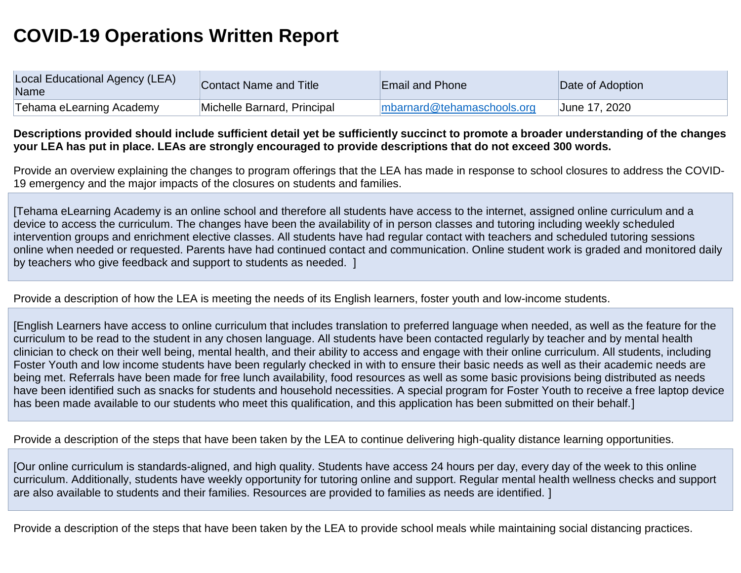## **COVID-19 Operations Written Report**

| Local Educational Agency (LEA)<br>Name | Contact Name and Title      | <b>Email and Phone</b>     | Date of Adoption |
|----------------------------------------|-----------------------------|----------------------------|------------------|
| Tehama eLearning Academy               | Michelle Barnard, Principal | mbarnard@tehamaschools.org | June 17, 2020    |

## **Descriptions provided should include sufficient detail yet be sufficiently succinct to promote a broader understanding of the changes your LEA has put in place. LEAs are strongly encouraged to provide descriptions that do not exceed 300 words.**

Provide an overview explaining the changes to program offerings that the LEA has made in response to school closures to address the COVID-19 emergency and the major impacts of the closures on students and families.

[Tehama eLearning Academy is an online school and therefore all students have access to the internet, assigned online curriculum and a device to access the curriculum. The changes have been the availability of in person classes and tutoring including weekly scheduled intervention groups and enrichment elective classes. All students have had regular contact with teachers and scheduled tutoring sessions online when needed or requested. Parents have had continued contact and communication. Online student work is graded and monitored daily by teachers who give feedback and support to students as needed. ]

## Provide a description of how the LEA is meeting the needs of its English learners, foster youth and low-income students.

[English Learners have access to online curriculum that includes translation to preferred language when needed, as well as the feature for the curriculum to be read to the student in any chosen language. All students have been contacted regularly by teacher and by mental health clinician to check on their well being, mental health, and their ability to access and engage with their online curriculum. All students, including Foster Youth and low income students have been regularly checked in with to ensure their basic needs as well as their academic needs are being met. Referrals have been made for free lunch availability, food resources as well as some basic provisions being distributed as needs have been identified such as snacks for students and household necessities. A special program for Foster Youth to receive a free laptop device has been made available to our students who meet this qualification, and this application has been submitted on their behalf.]

Provide a description of the steps that have been taken by the LEA to continue delivering high-quality distance learning opportunities.

[Our online curriculum is standards-aligned, and high quality. Students have access 24 hours per day, every day of the week to this online curriculum. Additionally, students have weekly opportunity for tutoring online and support. Regular mental health wellness checks and support are also available to students and their families. Resources are provided to families as needs are identified. ]

Provide a description of the steps that have been taken by the LEA to provide school meals while maintaining social distancing practices.